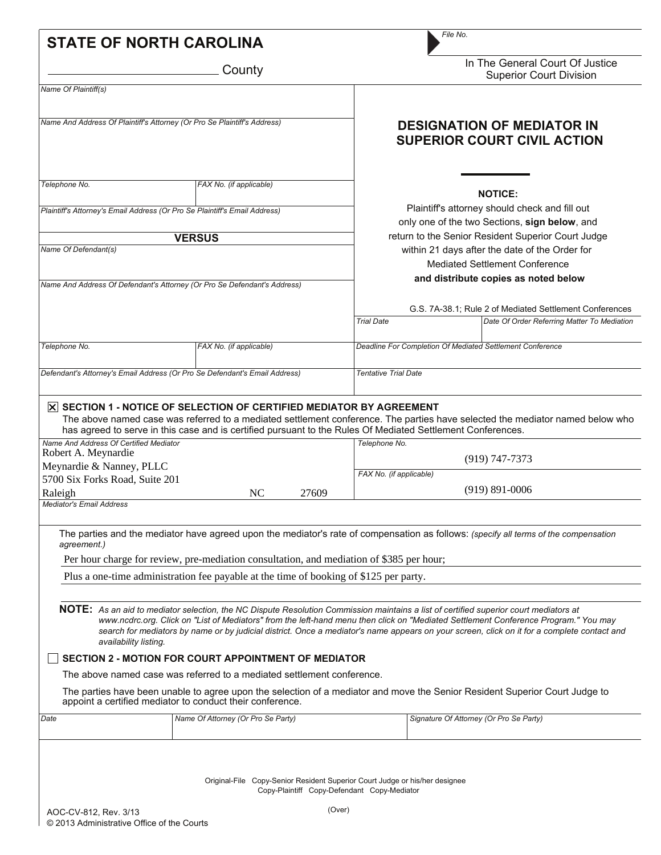| <b>STATE OF NORTH CAROLINA</b>                                                                                                         |                                                                                                                                                                                   |                                                                                                 | File No.                                                                                                                                                                                                                                                                                                                                                                                                                    |  |  |  |  |
|----------------------------------------------------------------------------------------------------------------------------------------|-----------------------------------------------------------------------------------------------------------------------------------------------------------------------------------|-------------------------------------------------------------------------------------------------|-----------------------------------------------------------------------------------------------------------------------------------------------------------------------------------------------------------------------------------------------------------------------------------------------------------------------------------------------------------------------------------------------------------------------------|--|--|--|--|
|                                                                                                                                        | County                                                                                                                                                                            | In The General Court Of Justice<br><b>Superior Court Division</b>                               |                                                                                                                                                                                                                                                                                                                                                                                                                             |  |  |  |  |
| Name Of Plaintiff(s)                                                                                                                   |                                                                                                                                                                                   |                                                                                                 |                                                                                                                                                                                                                                                                                                                                                                                                                             |  |  |  |  |
| Name And Address Of Plaintiff's Attorney (Or Pro Se Plaintiff's Address)                                                               |                                                                                                                                                                                   |                                                                                                 | <b>DESIGNATION OF MEDIATOR IN</b><br><b>SUPERIOR COURT CIVIL ACTION</b>                                                                                                                                                                                                                                                                                                                                                     |  |  |  |  |
| Telephone No.                                                                                                                          | FAX No. (if applicable)                                                                                                                                                           |                                                                                                 | <b>NOTICE:</b>                                                                                                                                                                                                                                                                                                                                                                                                              |  |  |  |  |
| Plaintiff's Attorney's Email Address (Or Pro Se Plaintiff's Email Address)                                                             |                                                                                                                                                                                   | Plaintiff's attorney should check and fill out<br>only one of the two Sections, sign below, and |                                                                                                                                                                                                                                                                                                                                                                                                                             |  |  |  |  |
|                                                                                                                                        | <b>VERSUS</b>                                                                                                                                                                     |                                                                                                 | return to the Senior Resident Superior Court Judge                                                                                                                                                                                                                                                                                                                                                                          |  |  |  |  |
| Name Of Defendant(s)                                                                                                                   |                                                                                                                                                                                   | within 21 days after the date of the Order for<br><b>Mediated Settlement Conference</b>         |                                                                                                                                                                                                                                                                                                                                                                                                                             |  |  |  |  |
| Name And Address Of Defendant's Attorney (Or Pro Se Defendant's Address)                                                               |                                                                                                                                                                                   | and distribute copies as noted below                                                            |                                                                                                                                                                                                                                                                                                                                                                                                                             |  |  |  |  |
|                                                                                                                                        |                                                                                                                                                                                   |                                                                                                 | G.S. 7A-38.1; Rule 2 of Mediated Settlement Conferences                                                                                                                                                                                                                                                                                                                                                                     |  |  |  |  |
|                                                                                                                                        |                                                                                                                                                                                   | <b>Trial Date</b>                                                                               | Date Of Order Referring Matter To Mediation                                                                                                                                                                                                                                                                                                                                                                                 |  |  |  |  |
| Telephone No.                                                                                                                          | FAX No. (if applicable)                                                                                                                                                           |                                                                                                 | Deadline For Completion Of Mediated Settlement Conference                                                                                                                                                                                                                                                                                                                                                                   |  |  |  |  |
|                                                                                                                                        |                                                                                                                                                                                   |                                                                                                 |                                                                                                                                                                                                                                                                                                                                                                                                                             |  |  |  |  |
| Defendant's Attorney's Email Address (Or Pro Se Defendant's Email Address)                                                             |                                                                                                                                                                                   | <b>Tentative Trial Date</b>                                                                     |                                                                                                                                                                                                                                                                                                                                                                                                                             |  |  |  |  |
| Name And Address Of Certified Mediator<br>Robert A. Meynardie<br>Meynardie & Nanney, PLLC<br>5700 Six Forks Road, Suite 201<br>Raleigh | NC<br>27609                                                                                                                                                                       | Telephone No.<br>FAX No. (if applicable)                                                        | $(919)$ 747-7373<br>$(919) 891 - 0006$                                                                                                                                                                                                                                                                                                                                                                                      |  |  |  |  |
| <b>Mediator's Email Address</b>                                                                                                        |                                                                                                                                                                                   |                                                                                                 |                                                                                                                                                                                                                                                                                                                                                                                                                             |  |  |  |  |
| agreement.)                                                                                                                            | Per hour charge for review, pre-mediation consultation, and mediation of \$385 per hour;<br>Plus a one-time administration fee payable at the time of booking of \$125 per party. |                                                                                                 | The parties and the mediator have agreed upon the mediator's rate of compensation as follows: (specify all terms of the compensation                                                                                                                                                                                                                                                                                        |  |  |  |  |
| availability listing.                                                                                                                  |                                                                                                                                                                                   |                                                                                                 | NOTE: As an aid to mediator selection, the NC Dispute Resolution Commission maintains a list of certified superior court mediators at<br>www.ncdrc.org. Click on "List of Mediators" from the left-hand menu then click on "Mediated Settlement Conference Program." You may<br>search for mediators by name or by judicial district. Once a mediator's name appears on your screen, click on it for a complete contact and |  |  |  |  |
|                                                                                                                                        | <b>SECTION 2 - MOTION FOR COURT APPOINTMENT OF MEDIATOR</b>                                                                                                                       |                                                                                                 |                                                                                                                                                                                                                                                                                                                                                                                                                             |  |  |  |  |
|                                                                                                                                        | The above named case was referred to a mediated settlement conference.                                                                                                            |                                                                                                 | The parties have been unable to agree upon the selection of a mediator and move the Senior Resident Superior Court Judge to                                                                                                                                                                                                                                                                                                 |  |  |  |  |
| Date                                                                                                                                   | appoint a certified mediator to conduct their conference.<br>Name Of Attorney (Or Pro Se Party)                                                                                   |                                                                                                 | Signature Of Attorney (Or Pro Se Party)                                                                                                                                                                                                                                                                                                                                                                                     |  |  |  |  |
|                                                                                                                                        |                                                                                                                                                                                   |                                                                                                 |                                                                                                                                                                                                                                                                                                                                                                                                                             |  |  |  |  |
|                                                                                                                                        |                                                                                                                                                                                   |                                                                                                 |                                                                                                                                                                                                                                                                                                                                                                                                                             |  |  |  |  |
|                                                                                                                                        | Original-File Copy-Senior Resident Superior Court Judge or his/her designee<br>Copy-Plaintiff Copy-Defendant Copy-Mediator                                                        |                                                                                                 |                                                                                                                                                                                                                                                                                                                                                                                                                             |  |  |  |  |
| AOC-CV-812, Rev. 3/13                                                                                                                  | (Over)                                                                                                                                                                            |                                                                                                 |                                                                                                                                                                                                                                                                                                                                                                                                                             |  |  |  |  |